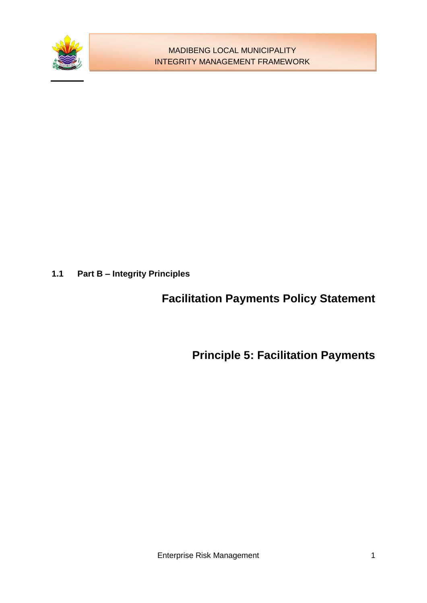

**1.1 Part B – Integrity Principles**

# **Facilitation Payments Policy Statement**

**Principle 5: Facilitation Payments**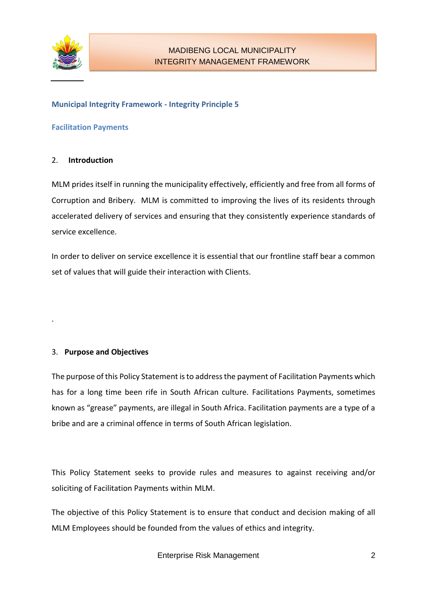

## **Municipal Integrity Framework - Integrity Principle 5**

#### **Facilitation Payments**

## 2. **Introduction**

MLM prides itself in running the municipality effectively, efficiently and free from all forms of Corruption and Bribery. MLM is committed to improving the lives of its residents through accelerated delivery of services and ensuring that they consistently experience standards of service excellence.

In order to deliver on service excellence it is essential that our frontline staff bear a common set of values that will guide their interaction with Clients.

## 3. **Purpose and Objectives**

.

The purpose of this Policy Statement is to address the payment of Facilitation Payments which has for a long time been rife in South African culture. Facilitations Payments, sometimes known as "grease" payments, are illegal in South Africa. Facilitation payments are a type of a bribe and are a criminal offence in terms of South African legislation.

This Policy Statement seeks to provide rules and measures to against receiving and/or soliciting of Facilitation Payments within MLM.

The objective of this Policy Statement is to ensure that conduct and decision making of all MLM Employees should be founded from the values of ethics and integrity.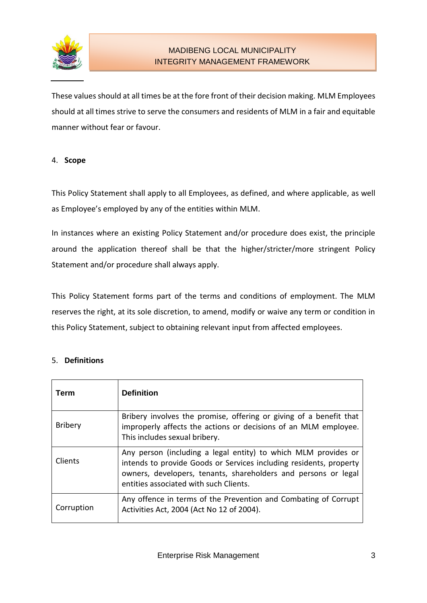

These values should at all times be at the fore front of their decision making. MLM Employees should at all times strive to serve the consumers and residents of MLM in a fair and equitable manner without fear or favour.

## 4. **Scope**

This Policy Statement shall apply to all Employees, as defined, and where applicable, as well as Employee's employed by any of the entities within MLM.

In instances where an existing Policy Statement and/or procedure does exist, the principle around the application thereof shall be that the higher/stricter/more stringent Policy Statement and/or procedure shall always apply.

This Policy Statement forms part of the terms and conditions of employment. The MLM reserves the right, at its sole discretion, to amend, modify or waive any term or condition in this Policy Statement, subject to obtaining relevant input from affected employees.

#### 5. **Definitions**

| Term           | <b>Definition</b>                                                                                                                                                                                                                                |
|----------------|--------------------------------------------------------------------------------------------------------------------------------------------------------------------------------------------------------------------------------------------------|
| <b>Bribery</b> | Bribery involves the promise, offering or giving of a benefit that<br>improperly affects the actions or decisions of an MLM employee.<br>This includes sexual bribery.                                                                           |
| Clients        | Any person (including a legal entity) to which MLM provides or<br>intends to provide Goods or Services including residents, property<br>owners, developers, tenants, shareholders and persons or legal<br>entities associated with such Clients. |
| Corruption     | Any offence in terms of the Prevention and Combating of Corrupt<br>Activities Act, 2004 (Act No 12 of 2004).                                                                                                                                     |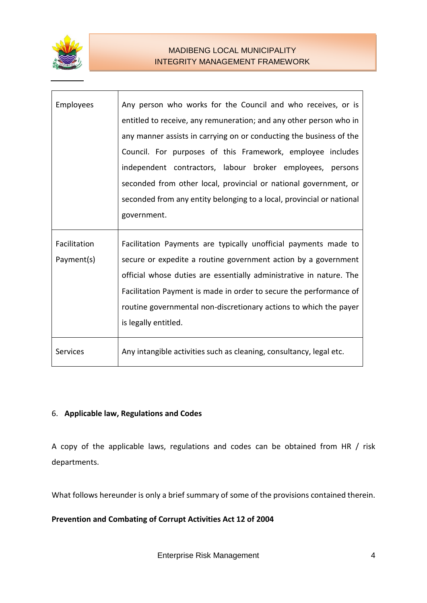

## MADIBENG LOCAL MUNICIPALITY INTEGRITY MANAGEMENT FRAMEWORK

| <b>Employees</b> | Any person who works for the Council and who receives, or is<br>entitled to receive, any remuneration; and any other person who in<br>any manner assists in carrying on or conducting the business of the<br>Council. For purposes of this Framework, employee includes<br>independent contractors, labour broker employees, persons<br>seconded from other local, provincial or national government, or<br>seconded from any entity belonging to a local, provincial or national |
|------------------|-----------------------------------------------------------------------------------------------------------------------------------------------------------------------------------------------------------------------------------------------------------------------------------------------------------------------------------------------------------------------------------------------------------------------------------------------------------------------------------|
|                  | government.                                                                                                                                                                                                                                                                                                                                                                                                                                                                       |
| Facilitation     | Facilitation Payments are typically unofficial payments made to                                                                                                                                                                                                                                                                                                                                                                                                                   |
| Payment(s)       | secure or expedite a routine government action by a government<br>official whose duties are essentially administrative in nature. The<br>Facilitation Payment is made in order to secure the performance of<br>routine governmental non-discretionary actions to which the payer<br>is legally entitled.                                                                                                                                                                          |
| <b>Services</b>  | Any intangible activities such as cleaning, consultancy, legal etc.                                                                                                                                                                                                                                                                                                                                                                                                               |

# 6. **Applicable law, Regulations and Codes**

A copy of the applicable laws, regulations and codes can be obtained from HR / risk departments.

What follows hereunder is only a brief summary of some of the provisions contained therein.

**Prevention and Combating of Corrupt Activities Act 12 of 2004**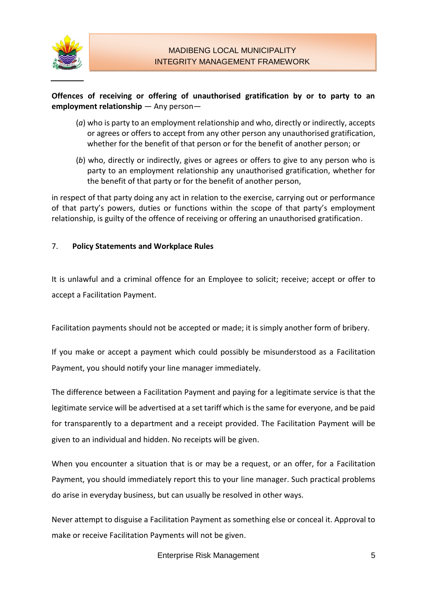

## **Offences of receiving or offering of unauthorised gratification by or to party to an employment relationship** — Any person—

- (*a*) who is party to an employment relationship and who, directly or indirectly, accepts or agrees or offers to accept from any other person any unauthorised gratification, whether for the benefit of that person or for the benefit of another person; or
- (*b*) who, directly or indirectly, gives or agrees or offers to give to any person who is party to an employment relationship any unauthorised gratification, whether for the benefit of that party or for the benefit of another person,

in respect of that party doing any act in relation to the exercise, carrying out or performance of that party's powers, duties or functions within the scope of that party's employment relationship, is guilty of the offence of receiving or offering an unauthorised gratification.

## 7. **Policy Statements and Workplace Rules**

It is unlawful and a criminal offence for an Employee to solicit; receive; accept or offer to accept a Facilitation Payment.

Facilitation payments should not be accepted or made; it is simply another form of bribery.

If you make or accept a payment which could possibly be misunderstood as a Facilitation Payment, you should notify your line manager immediately.

The difference between a Facilitation Payment and paying for a legitimate service is that the legitimate service will be advertised at a set tariff which is the same for everyone, and be paid for transparently to a department and a receipt provided. The Facilitation Payment will be given to an individual and hidden. No receipts will be given.

When you encounter a situation that is or may be a request, or an offer, for a Facilitation Payment, you should immediately report this to your line manager. Such practical problems do arise in everyday business, but can usually be resolved in other ways.

Never attempt to disguise a Facilitation Payment as something else or conceal it. Approval to make or receive Facilitation Payments will not be given.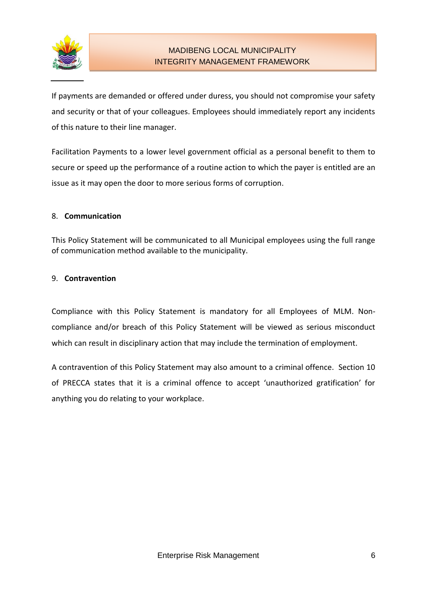

# MADIBENG LOCAL MUNICIPALITY INTEGRITY MANAGEMENT FRAMEWORK

If payments are demanded or offered under duress, you should not compromise your safety and security or that of your colleagues. Employees should immediately report any incidents of this nature to their line manager.

Facilitation Payments to a lower level government official as a personal benefit to them to secure or speed up the performance of a routine action to which the payer is entitled are an issue as it may open the door to more serious forms of corruption.

## 8. **Communication**

This Policy Statement will be communicated to all Municipal employees using the full range of communication method available to the municipality.

## 9. **Contravention**

Compliance with this Policy Statement is mandatory for all Employees of MLM. Noncompliance and/or breach of this Policy Statement will be viewed as serious misconduct which can result in disciplinary action that may include the termination of employment.

A contravention of this Policy Statement may also amount to a criminal offence. Section 10 of PRECCA states that it is a criminal offence to accept 'unauthorized gratification' for anything you do relating to your workplace.